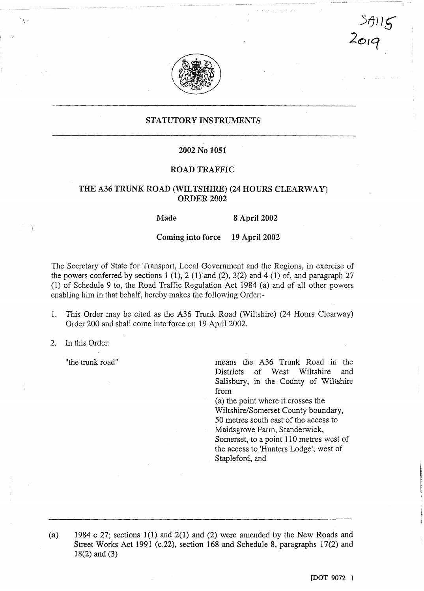

STATUTORY INSTRUMENTS

## 2002 No 1051

## ROAD TRAFFIC

## THE A36 TRUNK ROAD (WILTSHIRE) (24 HOURS CLEARWAY) ORDER <sup>2002</sup>

Made 8 April 2002

Coming into force 19 April 2002

The Secretary of State for Transport, Local Government and the Regions, in exercise of the powers conferred by sections 1 (1), 2 (1) and (2), 3(2) and 4 (1) of, and paragraph 27 (1) of Schedule 9 to, the Road Traffic Regulation Act 1984 (a) and of all other powers enabling him in that behalf, hereby makes the following Order:-

- 1. This Order may be cited as the A36 Trunk Road (Wiltshire) (24 Hours Clearway) Order 200 and shall come into force on 19 April 2002.
- 2. In this Order:

"the trunk road" means the A36 Trunk Road in the Wiltshire Salisbury, in the County of Wiltshire from

> (a) the point where it crosses the Wiltshire/Somerset County boundary, 50 metres south east of the access to Maidsgrove Farm, Standerwick, Somerset, to a point 110 metres west of the access to 'Hunters Lodge', west of Stapleford, and

1984 <sup>c</sup> 27; sections 1(1) and 2(l) and (2) were amended by the New Roads and  $(a)$ Street Works Act 1991 (c.22), section 168 and Schedule 8, paragraphs 17(2) and 18(2) and (3)

 $>$ 7)) $\overline{15}$ 

201q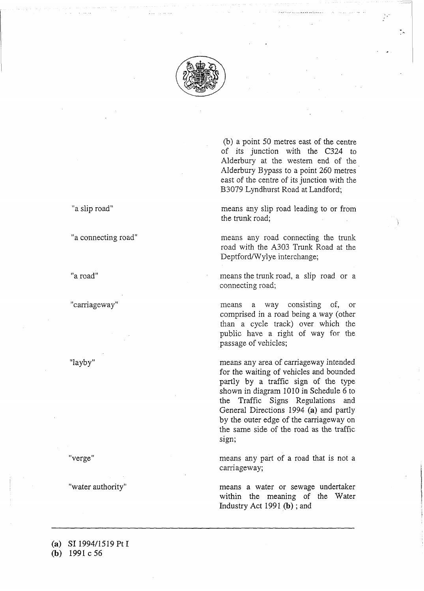

(b) a point 50 metres east of the centre of its junction with the C324 to Alderbury at the western end of the Alderbury Bypass to a point 260 metres east of the centre of its junction with the B3079 Lyndhurst Road at Landford;

"a slip road" means any slip road leading to or from the trunk road;

"a connecting road" means any road connecting the trunk road with the A303 Trunk Road at the Deptford/Wylye interchange;

"a road" means the trunk road, a slip road or <sup>a</sup> connecting road;

"carriageway" means a way consisting of, or comprised in a road being a way (other than a cycle track) over which the public have a right of way for the passage of vehicles;

"layby" means any area of carriageway intended for the waiting of vehicles and bounded partly by a traffic sign of the type shown in diagram 1010 in Schedule 6 to the Traffic Signs Regulations and General Directions 1994 (a) and partly by the outer edge of the carriageway on the same side of the road as the traffic sign;

"verge" means any part of <sup>a</sup> road that is not a carriageway;

"water authority" means a water or sewage undertaker within the meaning of the Water Industry Act 1991 (b) ; and

(a) SI 1994/1519 Pt <sup>I</sup> (b) 1991 c 56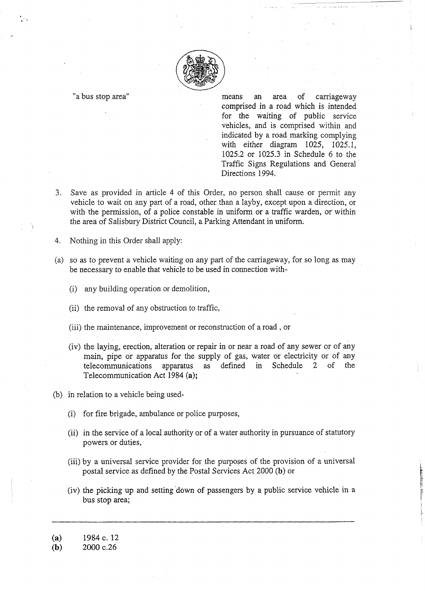

"a bus stop area" means an area of carriageway comprised in a road which is intended for the waiting of public service vehicles, and is comprised within and indicated by a road marking complying with either diagram 1025, 1025.1, 1025 .2 or 1025 .3 in Schedule 6 to the Traffic Signs Regulations and General Directions 1994.

- 3. Save as provided in article 4 of this Order, no person shall cause or permit any vehicle to wait on any part of a road, other than a layby, except upon a direction, or with the permission, of a police constable in uniform or a traffic warden, or within the area of Salisbury District Council, a Parking Attendant in uniform.
- 4. Nothing in this Order shall apply:
- (a) so as to prevent a vehicle waiting on any part of the carriageway, for so long as may be necessary to enable that vehicle to be used in connection with-
	- (i) any building operation or demolition,
	- (ii) the removal of any obstruction to traffic,
	- (iii) the maintenance, improvement or reconstruction of a road , or
	- (iv) the laying, erection, alteration or repair in or near a road of any sewer or of any main, pipe or apparatus for the supply of gas, water or electricity or of any telecommunications apparatus as defined in Schedule 2 of the telecommunications Telecommunication Act 1984 (a);
- (b) in relation to a vehicle being used-
	- (i) for fire brigade, ambulance or police purposes,
	- (ii) in the service of a local authority or of a water authority in pursuance of statutory powers or duties,
	- (iii) by a universal service provider for the purposes of the provision of a universal postal service as defined by the Postal Services Act 2000 (b) or
	- (iv) the picking up and setting down of passengers by a public service vehicle in a bus stop area;

2000 c.26

<sup>(</sup>a)  $1984 \text{ c. } 12$ <br>(b)  $2000 \text{ c.} 26$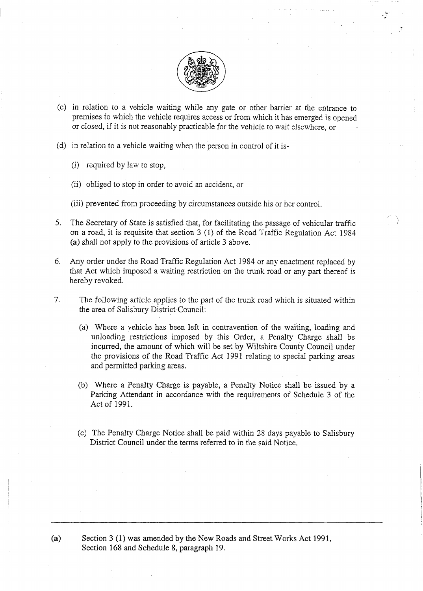

- (c) in relation to a vehicle waiting while any gate or other barrier at the entrance to premises to which the vehicle requires access or from which it has emerged is opened or closed, if it is not reasonably practicable for the vehicle to wait elsewhere, or
- (d) in relation to a vehicle waiting when the person in control of it is-
	- (i) required by law to stop,
	- (ii) obliged to stop in order to avoid an accident, or
	- (iii) prevented from proceeding by circumstances outside his or her control.
- 5. The Secretary of State is satisfied that, for facilitating the passage of vehicular traffic on a road, it is requisite that section 3 (1) of the Road Traffic Regulation Act 1984 (a) shall not apply to the provisions of article 3 above.
- 6. Any order under the Road Traffic Regulation Act 1984 or any enactment replaced by that Act which imposed a waiting restriction on the trunk road or any part thereof is hereby revoked.
- 7. The following article applies to the part of the trunk road which is situated within the area of Salisbury District Council:
	- (a) Where a vehicle has been left in contravention of the waiting, loading and unloading restrictions imposed by this Order, a Penalty Charge shall be incurred, the amount of which will be set by Wiltshire County Council under the provisions of the Road Traffic Act 1991 relating to special parking areas and permitted parking areas.
	- (b) Where a Penalty Charge is payable, a Penalty Notice shall be issued by a Parking Attendant in accordance with the requirements of Schedule 3 of the Act of 1991.
	- (c) The Penalty Charge Notice shall be paid within 28 days payable to Salisbury District Council under the terms referred to in the said Notice.

(a) Section <sup>3</sup> (1) was amended by the New Roads and Street Works Act 1991, Section 168 and Schedule 8, paragraph 19.